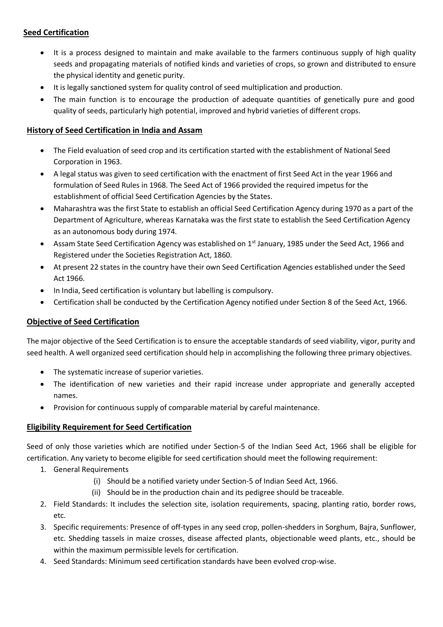## **Seed Certification**

- It is a process designed to maintain and make available to the farmers continuous supply of high quality seeds and propagating materials of notified kinds and varieties of crops, so grown and distributed to ensure the physical identity and genetic purity.
- It is legally sanctioned system for quality control of seed multiplication and production.
- The main function is to encourage the production of adequate quantities of genetically pure and good quality of seeds, particularly high potential, improved and hybrid varieties of different crops.

## **History of Seed Certification in India and Assam**

- The Field evaluation of seed crop and its certification started with the establishment of National Seed Corporation in 1963.
- A legal status was given to seed certification with the enactment of first Seed Act in the year 1966 and formulation of Seed Rules in 1968. The Seed Act of 1966 provided the required impetus for the establishment of official Seed Certification Agencies by the States.
- Maharashtra was the first State to establish an official Seed Certification Agency during 1970 as a part of the Department of Agriculture, whereas Karnataka was the first state to establish the Seed Certification Agency as an autonomous body during 1974.
- Assam State Seed Certification Agency was established on  $1<sup>st</sup>$  January, 1985 under the Seed Act, 1966 and Registered under the Societies Registration Act, 1860.
- At present 22 states in the country have their own Seed Certification Agencies established under the Seed Act 1966.
- In India, Seed certification is voluntary but labelling is compulsory.
- Certification shall be conducted by the Certification Agency notified under Section 8 of the Seed Act, 1966.

# **Objective of Seed Certification**

The major objective of the Seed Certification is to ensure the acceptable standards of seed viability, vigor, purity and seed health. A well organized seed certification should help in accomplishing the following three primary objectives.

- The systematic increase of superior varieties.
- The identification of new varieties and their rapid increase under appropriate and generally accepted names.
- Provision for continuous supply of comparable material by careful maintenance.

# **Eligibility Requirement for Seed Certification**

Seed of only those varieties which are notified under Section-5 of the Indian Seed Act, 1966 shall be eligible for certification. Any variety to become eligible for seed certification should meet the following requirement:

- 1. General Requirements
	- (i) Should be a notified variety under Section-5 of Indian Seed Act, 1966.
	- (ii) Should be in the production chain and its pedigree should be traceable.
- 2. Field Standards: It includes the selection site, isolation requirements, spacing, planting ratio, border rows, etc.
- 3. Specific requirements: Presence of off-types in any seed crop, pollen-shedders in Sorghum, Bajra, Sunflower, etc. Shedding tassels in maize crosses, disease affected plants, objectionable weed plants, etc., should be within the maximum permissible levels for certification.
- 4. Seed Standards: Minimum seed certification standards have been evolved crop-wise.